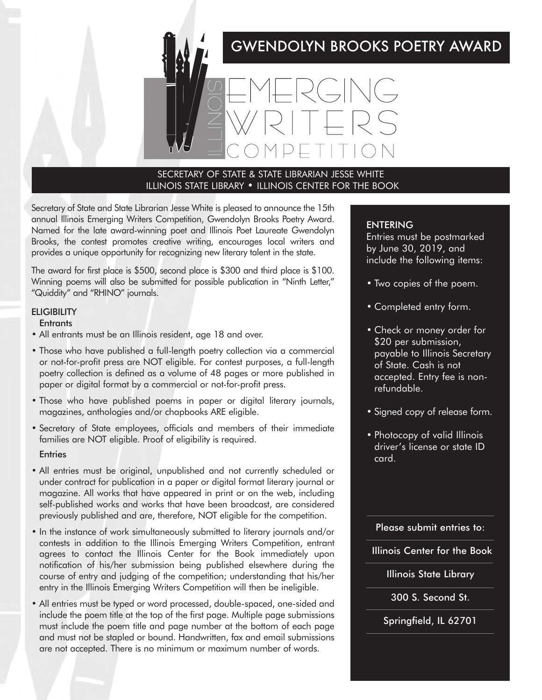# GWENDOLYN BROOKS POETRY AWARD



## SECRETARY OF STATE & STATE LIBRARIAN JESSE WHITE ILLINOIS STATE LIBRARY • ILLINOIS CENTER FOR THE BOOK

Secretary of State and State Librarian Jesse White is pleased to announce the 15th annual Illinois Emerging Writers Competition, Gwendolyn Brooks Poetry Award. Named for the late award-winning poet and Illinois Poet Laureate Gwendolyn Brooks, the contest promotes creative writing, encourages local writers and provides a unique opportunity for recognizing new literary talent in the state.

The award for first place is \$500, second place is \$300 and third place is \$100. Winning poems will also be submitted for possible publication in "Ninth Letter," "Quiddity" and "RHINO" journals.

## **ELIGIBILITY**

#### **Entrants**

- All entrants must be an Illinois resident, age 18 and over.
- Those who have published a full-length poetry collection via a commercial or not-for-profit press are NOT eligible. For contest purposes, a full-length poetry collection is defined as a volume of 48 pages or more published in paper or digital format by a commercial or not-for-profit press.
- Those who have published poems in paper or digital literary journals, magazines, anthologies and/or chapbooks ARE eligible.
- Secretary of State employees, officials and members of their immediate families are NOT eligible. Proof of eligibility is required.

#### **Entries**

- All entries must be original, unpublished and not currently scheduled or under contract for publication in a paper or digital format literary journal or magazine. All works that have appeared in print or on the web, including self-published works and works that have been broadcast, are considered previously published and are, therefore, NOT eligible for the competition.
- In the instance of work simultaneously submitted to literary journals and/or contests in addition to the Illinois Emerging Writers Competition, entrant agrees to contact the Illinois Center for the Book immediately upon notification of his/her submission being published elsewhere during the course of entry and judging of the competition; understanding that his/her entry in the Illinois Emerging Writers Competition will then be ineligible.
- All entries must be typed or word processed, double-spaced, one-sided and include the poem title at the top of the first page. Multiple page submissions must include the poem title and page number at the bottom of each page and must not be stapled or bound. Handwritten, fax and email submissions are not accepted. There is no minimum or maximum number of words.

#### ENTERING

Entries must be postmarked by June 30, 2019, and include the following items:

- Two copies of the poem.
- Completed entry form.
- Check or money order for \$20 per submission, payable to Illinois Secretary of State. Cash is not accepted. Entry fee is nonrefundable.
- Signed copy of release form.
- Photocopy of valid Illinois driver's license or state ID card.

Please submit entries to:

Illinois Center for the Book

Illinois State Library

300 S. Second St.

Springfield, IL 62701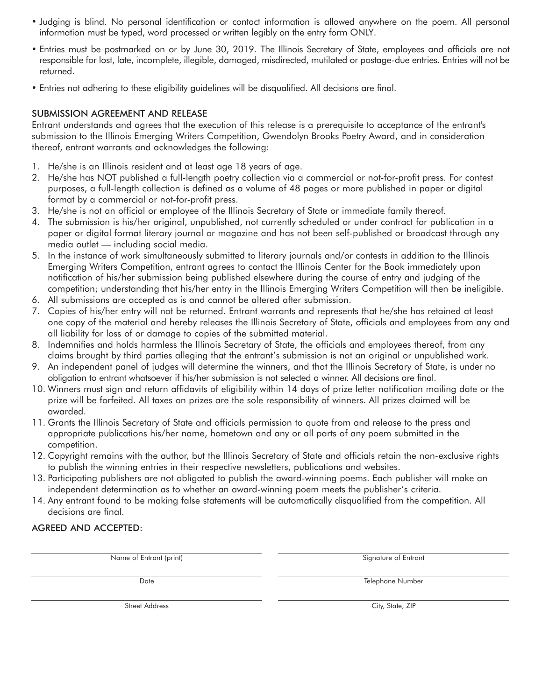- Judging is blind. No personal identification or contact information is allowed anywhere on the poem. All personal information must be typed, word processed or written legibly on the entry form ONLY.
- Entries must be postmarked on or by June 30, 2019. The Illinois Secretary of State, employees and officials are not responsible for lost, late, incomplete, illegible, damaged, misdirected, mutilated or postage-due entries. Entries will not be returned.
- Entries not adhering to these eligibility guidelines will be disqualified. All decisions are final.

## SUBMISSION AGREEMENT AND RELEASE

Entrant understands and agrees that the execution of this release is a prerequisite to acceptance of the entrant's submission to the Illinois Emerging Writers Competition, Gwendolyn Brooks Poetry Award, and in consideration thereof, entrant warrants and acknowledges the following:

- 1. He/she is an Illinois resident and at least age 18 years of age.
- 2. He/she has NOT published a full-length poetry collection via a commercial or not-for-profit press. For contest purposes, a full-length collection is defined as a volume of 48 pages or more published in paper or digital format by a commercial or not-for-profit press.
- 3. He/she is not an official or employee of the Illinois Secretary of State or immediate family thereof.
- 4. The submission is his/her original, unpublished, not currently scheduled or under contract for publication in a paper or digital format literary journal or magazine and has not been self-published or broadcast through any media outlet — including social media.
- 5. In the instance of work simultaneously submitted to literary journals and/or contests in addition to the Illinois Emerging Writers Competition, entrant agrees to contact the Illinois Center for the Book immediately upon notification of his/her submission being published elsewhere during the course of entry and judging of the competition; understanding that his/her entry in the Illinois Emerging Writers Competition will then be ineligible.
- 6. All submissions are accepted as is and cannot be altered after submission.
- 7. Copies of his/her entry will not be returned. Entrant warrants and represents that he/she has retained at least one copy of the material and hereby releases the Illinois Secretary of State, officials and employees from any and all liability for loss of or damage to copies of the submitted material.
- 8. Indemnifies and holds harmless the Illinois Secretary of State, the officials and employees thereof, from any claims brought by third parties alleging that the entrant's submission is not an original or unpublished work.
- 9. An independent panel of judges will determine the winners, and that the Illinois Secretary of State, is under no obligation to entrant whatsoever if his/her submission is not selected a winner. All decisions are final.
- 10. Winners must sign and return affidavits of eligibility within 14 days of prize letter notification mailing date or the prize will be forfeited. All taxes on prizes are the sole responsibility of winners. All prizes claimed will be awarded.
- 11. Grants the Illinois Secretary of State and officials permission to quote from and release to the press and appropriate publications his/her name, hometown and any or all parts of any poem submitted in the competition.
- 12. Copyright remains with the author, but the Illinois Secretary of State and officials retain the non-exclusive rights to publish the winning entries in their respective newsletters, publications and websites.
- 13. Participating publishers are not obligated to publish the award-winning poems. Each publisher will make an independent determination as to whether an award-winning poem meets the publisher's criteria.
- 14. Any entrant found to be making false statements will be automatically disqualified from the competition. All decisions are final.

# AGREED AND ACCEPTED:

Name of Entrant (print) Signature of Entrant Signature of Entrant

Date **Telephone Number Telephone Number Telephone Number** 

Street Address City, State, ZIP